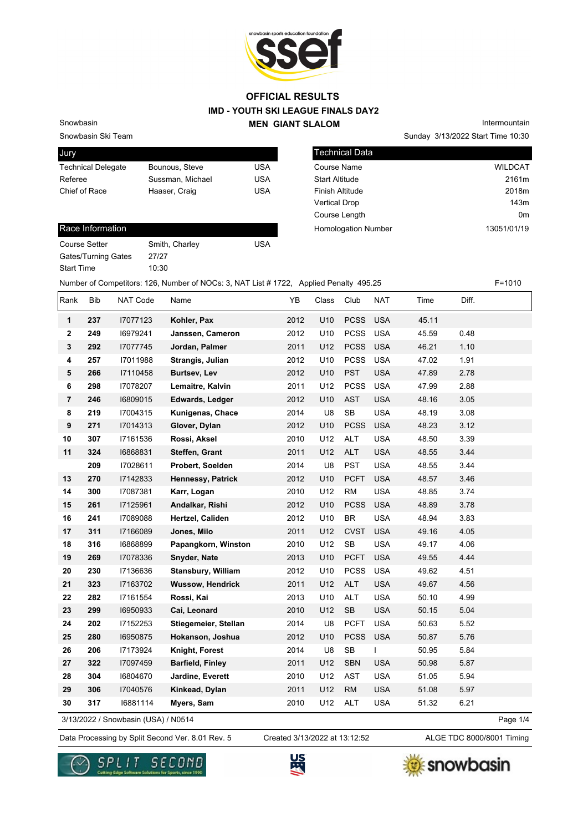

Snowbasin Ski Team

Snowbasin

| Jury                      |                  |     |
|---------------------------|------------------|-----|
| <b>Technical Delegate</b> | Bounous, Steve   | USA |
| Referee                   | Sussman, Michael | USA |
| Chief of Race             | Haaser, Craig    | USA |
|                           |                  |     |

|                       | Sunday 3/13/2022 Start Time 10:30 |
|-----------------------|-----------------------------------|
| <b>Technical Data</b> |                                   |
| Course Name           | <b>WILDCAT</b>                    |
| <b>Start Altitude</b> | 2161m                             |
| Finish Altitude       | 2018m                             |
| Vertical Drop         | 143m                              |
| Course Length         | 0m                                |

Homologation Number 13051/01/19

Intermountain

#### Race Information

Course Setter Smith, Charley Course Setter Gates/Turning Gates 27/27 Start Time 10:30

Number of Competitors: 126, Number of NOCs: 3, NAT List # 1722, Applied Penalty 495.25 F=1010

| Rank            | Bib | <b>NAT Code</b>                     | Name                      | YB   | Class           | Club                              | <b>NAT</b> | Time  | Diff. |          |
|-----------------|-----|-------------------------------------|---------------------------|------|-----------------|-----------------------------------|------------|-------|-------|----------|
| $\mathbf{1}$    | 237 | 17077123                            | Kohler, Pax               | 2012 | U <sub>10</sub> | <b>PCSS</b>                       | <b>USA</b> | 45.11 |       |          |
| $\mathbf 2$     | 249 | 16979241                            | Janssen, Cameron          | 2012 | U10             | <b>PCSS</b>                       | <b>USA</b> | 45.59 | 0.48  |          |
| $\mathbf 3$     | 292 | 17077745                            | Jordan, Palmer            | 2011 | U12             | <b>PCSS</b>                       | <b>USA</b> | 46.21 | 1.10  |          |
| 4               | 257 | 17011988                            | Strangis, Julian          | 2012 | U10             | <b>PCSS</b>                       | <b>USA</b> | 47.02 | 1.91  |          |
| $5\phantom{.0}$ | 266 | 17110458                            | Burtsev, Lev              | 2012 | U10             | <b>PST</b>                        | <b>USA</b> | 47.89 | 2.78  |          |
| 6               | 298 | 17078207                            | Lemaitre, Kalvin          | 2011 | U12             | <b>PCSS</b>                       | <b>USA</b> | 47.99 | 2.88  |          |
| $\overline{7}$  | 246 | 16809015                            | Edwards, Ledger           | 2012 | U10             | <b>AST</b>                        | <b>USA</b> | 48.16 | 3.05  |          |
| 8               | 219 | 17004315                            | Kunigenas, Chace          | 2014 | U8              | $\mathsf{SB}\xspace$              | <b>USA</b> | 48.19 | 3.08  |          |
| 9               | 271 | 17014313                            | Glover, Dylan             | 2012 | U10             | <b>PCSS</b>                       | <b>USA</b> | 48.23 | 3.12  |          |
| 10              | 307 | 17161536                            | Rossi, Aksel              | 2010 | U12             | <b>ALT</b>                        | <b>USA</b> | 48.50 | 3.39  |          |
| 11              | 324 | 16868831                            | Steffen, Grant            | 2011 | U12             | <b>ALT</b>                        | <b>USA</b> | 48.55 | 3.44  |          |
|                 | 209 | 17028611                            | Probert, Soelden          | 2014 | U8              | <b>PST</b>                        | <b>USA</b> | 48.55 | 3.44  |          |
| 13              | 270 | 17142833                            | Hennessy, Patrick         | 2012 | U10             | <b>PCFT</b>                       | <b>USA</b> | 48.57 | 3.46  |          |
| 14              | 300 | 17087381                            | Karr, Logan               | 2010 | U12             | <b>RM</b>                         | <b>USA</b> | 48.85 | 3.74  |          |
| 15              | 261 | 17125961                            | Andalkar, Rishi           | 2012 | U10             | <b>PCSS</b>                       | <b>USA</b> | 48.89 | 3.78  |          |
| 16              | 241 | 17089088                            | Hertzel, Caliden          | 2012 | U10             | $\ensuremath{\mathsf{BR}}\xspace$ | <b>USA</b> | 48.94 | 3.83  |          |
| 17              | 311 | I7166089                            | Jones, Milo               | 2011 | U12             | <b>CVST</b>                       | <b>USA</b> | 49.16 | 4.05  |          |
| 18              | 316 | 16868899                            | Papangkorn, Winston       | 2010 | U12             | ${\sf SB}$                        | <b>USA</b> | 49.17 | 4.06  |          |
| 19              | 269 | 17078336                            | Snyder, Nate              | 2013 | U10             | <b>PCFT</b>                       | <b>USA</b> | 49.55 | 4.44  |          |
| 20              | 230 | 17136636                            | <b>Stansbury, William</b> | 2012 | U10             | <b>PCSS</b>                       | <b>USA</b> | 49.62 | 4.51  |          |
| 21              | 323 | 17163702                            | <b>Wussow, Hendrick</b>   | 2011 | U12             | <b>ALT</b>                        | <b>USA</b> | 49.67 | 4.56  |          |
| 22              | 282 | 17161554                            | Rossi, Kai                | 2013 | U10             | <b>ALT</b>                        | <b>USA</b> | 50.10 | 4.99  |          |
| 23              | 299 | 16950933                            | Cai, Leonard              | 2010 | U12             | <b>SB</b>                         | <b>USA</b> | 50.15 | 5.04  |          |
| 24              | 202 | 17152253                            | Stiegemeier, Stellan      | 2014 | U8              | <b>PCFT</b>                       | <b>USA</b> | 50.63 | 5.52  |          |
| 25              | 280 | 16950875                            | Hokanson, Joshua          | 2012 | U10             | <b>PCSS</b>                       | <b>USA</b> | 50.87 | 5.76  |          |
| 26              | 206 | 17173924                            | Knight, Forest            | 2014 | U8              | SB                                | I          | 50.95 | 5.84  |          |
| 27              | 322 | 17097459                            | <b>Barfield, Finley</b>   | 2011 | U12             | <b>SBN</b>                        | <b>USA</b> | 50.98 | 5.87  |          |
| 28              | 304 | 16804670                            | Jardine, Everett          | 2010 | U12             | <b>AST</b>                        | <b>USA</b> | 51.05 | 5.94  |          |
| 29              | 306 | 17040576                            | Kinkead, Dylan            | 2011 | U12             | <b>RM</b>                         | <b>USA</b> | 51.08 | 5.97  |          |
| 30              | 317 | 16881114                            | Myers, Sam                | 2010 | U12             | <b>ALT</b>                        | <b>USA</b> | 51.32 | 6.21  |          |
|                 |     | 3/13/2022 / Snowbasin (USA) / N0514 |                           |      |                 |                                   |            |       |       | Page 1/4 |

3/13/2022 / Snowbasin (USA) / N0514

Data Processing by Split Second Ver. 8.01 Rev. 5 Created 3/13/2022 at 13:12:52 ALGE TDC 8000/8001 Timing Created 3/13/2022 at 13:12:52





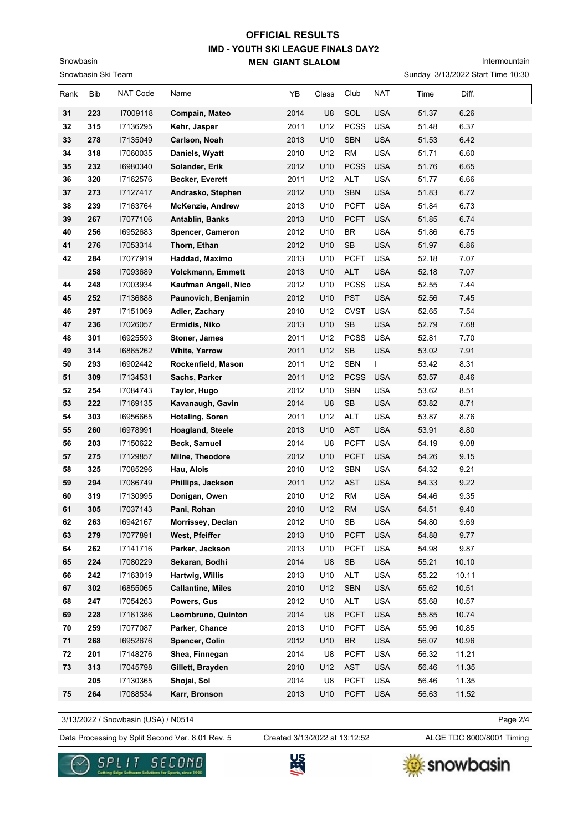Intermountain

Sunday 3/13/2022 Start Time 10:30

| Rank     | Bib        | NAT Code             | Name                                 | YB           | Class      | Club                              | NAT                      | Time           | Diff.          |
|----------|------------|----------------------|--------------------------------------|--------------|------------|-----------------------------------|--------------------------|----------------|----------------|
| 31       | 223        | 17009118             | Compain, Mateo                       | 2014         | U8         | SOL                               | <b>USA</b>               | 51.37          | 6.26           |
| 32       | 315        | 17136295             | Kehr, Jasper                         | 2011         | U12        | <b>PCSS</b>                       | <b>USA</b>               | 51.48          | 6.37           |
| 33       | 278        | 17135049             | Carlson, Noah                        | 2013         | U10        | <b>SBN</b>                        | <b>USA</b>               | 51.53          | 6.42           |
| 34       | 318        | 17060035             | Daniels, Wyatt                       | 2010         | U12        | <b>RM</b>                         | <b>USA</b>               | 51.71          | 6.60           |
| 35       | 232        | 16980340             | Solander, Erik                       | 2012         | U10        | <b>PCSS</b>                       | <b>USA</b>               | 51.76          | 6.65           |
| 36       | 320        | 17162576             | Becker, Everett                      | 2011         | U12        | ALT                               | <b>USA</b>               | 51.77          | 6.66           |
| 37       | 273        | 17127417             | Andrasko, Stephen                    | 2012         | U10        | <b>SBN</b>                        | <b>USA</b>               | 51.83          | 6.72           |
| 38       | 239        | 17163764             | McKenzie, Andrew                     | 2013         | U10        | <b>PCFT</b>                       | <b>USA</b>               | 51.84          | 6.73           |
| 39       | 267        | 17077106             | <b>Antablin, Banks</b>               | 2013         | U10        | <b>PCFT</b>                       | <b>USA</b>               | 51.85          | 6.74           |
| 40       | 256        | 16952683             | Spencer, Cameron                     | 2012         | U10        | <b>BR</b>                         | <b>USA</b>               | 51.86          | 6.75           |
| 41       | 276        | 17053314             | Thorn, Ethan                         | 2012         | U10        | $\mathsf{SB}\xspace$              | <b>USA</b>               | 51.97          | 6.86           |
| 42       | 284        | 17077919             | Haddad, Maximo                       | 2013         | U10        | <b>PCFT</b>                       | <b>USA</b>               | 52.18          | 7.07           |
|          | 258        | 17093689             | <b>Volckmann, Emmett</b>             | 2013         | U10        | <b>ALT</b>                        | <b>USA</b>               | 52.18          | 7.07           |
| 44       | 248        | 17003934             | Kaufman Angell, Nico                 | 2012         | U10        | <b>PCSS</b>                       | <b>USA</b>               | 52.55          | 7.44           |
| 45       | 252        | 17136888             | Paunovich, Benjamin                  | 2012         | U10        | <b>PST</b>                        | <b>USA</b>               | 52.56          | 7.45           |
| 46       | 297        | 17151069             | Adler, Zachary                       | 2010         | U12        | <b>CVST</b>                       | <b>USA</b>               | 52.65          | 7.54           |
| 47       | 236        | 17026057             | Ermidis, Niko                        | 2013         | U10        | SB                                | <b>USA</b>               | 52.79          | 7.68           |
| 48       | 301        | 16925593             | Stoner, James                        | 2011         | U12        | <b>PCSS</b>                       | <b>USA</b>               | 52.81          | 7.70           |
| 49       | 314        | 16865262             | <b>White, Yarrow</b>                 | 2011         | U12        | SB                                | <b>USA</b>               | 53.02          | 7.91           |
| 50       | 293        | 16902442             | Rockenfield, Mason                   | 2011         | U12        | <b>SBN</b>                        | I                        | 53.42          | 8.31           |
| 51       | 309        | 17134531             | Sachs, Parker                        | 2011         | U12        | <b>PCSS</b>                       | <b>USA</b>               | 53.57          | 8.46           |
| 52       | 254        | 17084743             | Taylor, Hugo                         | 2012         | U10        | <b>SBN</b>                        | <b>USA</b>               | 53.62          | 8.51           |
| 53       | 222        | 17169135             | Kavanaugh, Gavin                     | 2014         | U8         | SB                                | <b>USA</b>               | 53.82          | 8.71           |
| 54       | 303        | 16956665             | <b>Hotaling, Soren</b>               | 2011         | U12        | <b>ALT</b>                        | <b>USA</b>               | 53.87          | 8.76           |
| 55       | 260        | 16978991             | Hoagland, Steele                     | 2013         | U10        | <b>AST</b>                        | <b>USA</b>               | 53.91          | 8.80           |
| 56       | 203        | 17150622             | Beck, Samuel                         | 2014         | U8         | <b>PCFT</b>                       | <b>USA</b>               | 54.19          | 9.08           |
| 57       | 275        | 17129857             | Milne, Theodore                      | 2012         | U10        | <b>PCFT</b>                       | <b>USA</b>               | 54.26          | 9.15           |
| 58       | 325        | 17085296             | Hau, Alois                           | 2010         | U12        | <b>SBN</b>                        | <b>USA</b>               | 54.32          | 9.21           |
| 59       | 294        | 17086749             | Phillips, Jackson                    | 2011         | U12        | <b>AST</b>                        | <b>USA</b>               | 54.33          | 9.22           |
| 60       | 319        | 17130995             | Donigan, Owen                        | 2010         | U12        | <b>RM</b>                         | <b>USA</b>               | 54.46          | 9.35           |
| 61       | 305        | 17037143             | Pani, Rohan                          | 2010         | U12        | <b>RM</b>                         | <b>USA</b>               | 54.51          | 9.40           |
| 62       | 263        | 16942167             | Morrissey, Declan<br>West, Pfeiffer  | 2012         | U10        | SB                                | <b>USA</b>               | 54.80          | 9.69           |
| 63       | 279        | 17077891             |                                      | 2013         | U10        | <b>PCFT</b>                       | <b>USA</b>               | 54.88          | 9.77           |
| 64       | 262        | 17141716             | Parker, Jackson<br>Sekaran, Bodhi    | 2013         | U10        | <b>PCFT</b>                       | <b>USA</b>               | 54.98          | 9.87           |
| 65<br>66 | 224<br>242 | 17080229             | Hartwig, Willis                      | 2014<br>2013 | U8         | $\mathsf{SB}\xspace$              | <b>USA</b><br><b>USA</b> | 55.21<br>55.22 | 10.10<br>10.11 |
| 67       | 302        | 17163019<br>16855065 | <b>Callantine, Miles</b>             | 2010         | U10<br>U12 | ALT<br><b>SBN</b>                 | <b>USA</b>               | 55.62          | 10.51          |
| 68       | 247        | 17054263             | Powers, Gus                          | 2012         | U10        | ALT                               | USA                      | 55.68          | 10.57          |
|          |            |                      |                                      |              |            | <b>PCFT</b>                       | <b>USA</b>               | 55.85          | 10.74          |
| 69<br>70 | 228<br>259 | 17161386<br>17077087 | Leombruno, Quinton<br>Parker, Chance | 2014<br>2013 | U8<br>U10  | <b>PCFT</b>                       | USA                      | 55.96          | 10.85          |
| 71       | 268        | 16952676             | Spencer, Colin                       | 2012         | U10        | $\ensuremath{\mathsf{BR}}\xspace$ | <b>USA</b>               | 56.07          | 10.96          |
| 72       | 201        | 17148276             | Shea, Finnegan                       | 2014         | U8         | <b>PCFT</b>                       | <b>USA</b>               | 56.32          | 11.21          |
| 73       | 313        | 17045798             | Gillett, Brayden                     | 2010         | U12        | AST                               | <b>USA</b>               | 56.46          | 11.35          |
|          | 205        | 17130365             | Shojai, Sol                          | 2014         | U8         | <b>PCFT</b>                       | USA                      | 56.46          | 11.35          |
| 75       | 264        |                      |                                      |              | U10        | <b>PCFT</b>                       | <b>USA</b>               |                |                |
|          |            | 17088534             | Karr, Bronson                        | 2013         |            |                                   |                          | 56.63          | 11.52          |

3/13/2022 / Snowbasin (USA) / N0514

Snowbasin Ski Team

Snowbasin

Page 2/4

Data Processing by Split Second Ver. 8.01 Rev. 5 Created 3/13/2022 at 13:12:52 ALGE TDC 8000/8001 Timing

Created 3/13/2022 at 13:12:52





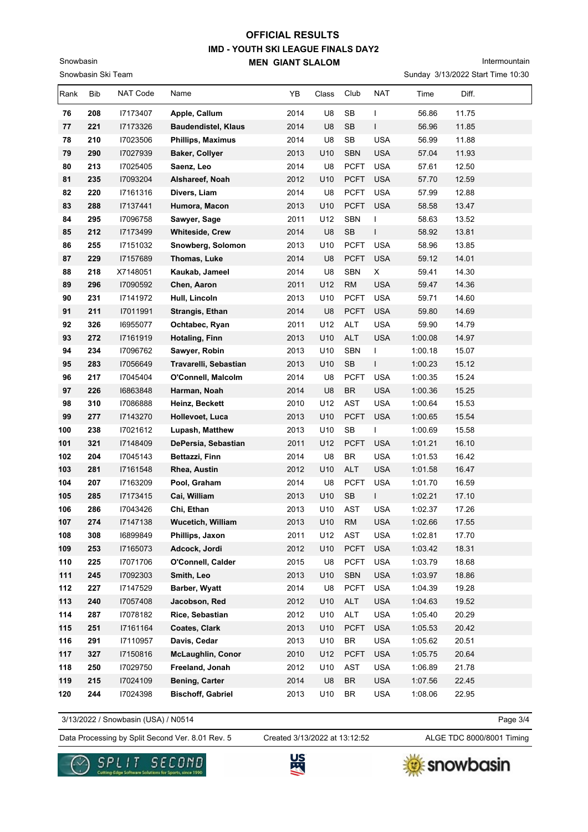Intermountain

Sunday 3/13/2022 Start Time 10:30

| Rank | Bib | NAT Code | Name                       | YB   | Class | Club                              | <b>NAT</b> | Time    | Diff. |  |
|------|-----|----------|----------------------------|------|-------|-----------------------------------|------------|---------|-------|--|
| 76   | 208 | 17173407 | Apple, Callum              | 2014 | U8    | SB                                | I          | 56.86   | 11.75 |  |
| 77   | 221 | 17173326 | <b>Baudendistel, Klaus</b> | 2014 | U8    | <b>SB</b>                         | L          | 56.96   | 11.85 |  |
| 78   | 210 | 17023506 | <b>Phillips, Maximus</b>   | 2014 | U8    | SB                                | <b>USA</b> | 56.99   | 11.88 |  |
| 79   | 290 | 17027939 | <b>Baker, Collyer</b>      | 2013 | U10   | <b>SBN</b>                        | <b>USA</b> | 57.04   | 11.93 |  |
| 80   | 213 | 17025405 | Saenz, Leo                 | 2014 | U8    | <b>PCFT</b>                       | <b>USA</b> | 57.61   | 12.50 |  |
| 81   | 235 | 17093204 | Alshareef, Noah            | 2012 | U10   | <b>PCFT</b>                       | <b>USA</b> | 57.70   | 12.59 |  |
| 82   | 220 | 17161316 | Divers, Liam               | 2014 | U8    | <b>PCFT</b>                       | <b>USA</b> | 57.99   | 12.88 |  |
| 83   | 288 | 17137441 | Humora, Macon              | 2013 | U10   | <b>PCFT</b>                       | <b>USA</b> | 58.58   | 13.47 |  |
| 84   | 295 | 17096758 | Sawyer, Sage               | 2011 | U12   | SBN                               | L          | 58.63   | 13.52 |  |
| 85   | 212 | 17173499 | Whiteside, Crew            | 2014 | U8    | SB                                | L          | 58.92   | 13.81 |  |
| 86   | 255 | 17151032 | Snowberg, Solomon          | 2013 | U10   | <b>PCFT</b>                       | <b>USA</b> | 58.96   | 13.85 |  |
| 87   | 229 | 17157689 | Thomas, Luke               | 2014 | U8    | <b>PCFT</b>                       | <b>USA</b> | 59.12   | 14.01 |  |
| 88   | 218 | X7148051 | Kaukab, Jameel             | 2014 | U8    | SBN                               | X          | 59.41   | 14.30 |  |
| 89   | 296 | 17090592 | Chen, Aaron                | 2011 | U12   | <b>RM</b>                         | <b>USA</b> | 59.47   | 14.36 |  |
| 90   | 231 | 17141972 | Hull, Lincoln              | 2013 | U10   | <b>PCFT</b>                       | <b>USA</b> | 59.71   | 14.60 |  |
| 91   | 211 | 17011991 | Strangis, Ethan            | 2014 | U8    | <b>PCFT</b>                       | <b>USA</b> | 59.80   | 14.69 |  |
| 92   | 326 | 16955077 | Ochtabec, Ryan             | 2011 | U12   | ALT                               | <b>USA</b> | 59.90   | 14.79 |  |
| 93   | 272 | 17161919 | Hotaling, Finn             | 2013 | U10   | ALT                               | <b>USA</b> | 1:00.08 | 14.97 |  |
| 94   | 234 | 17096762 | Sawyer, Robin              | 2013 | U10   | SBN                               | L          | 1:00.18 | 15.07 |  |
| 95   | 283 | 17056649 | Travarelli, Sebastian      | 2013 | U10   | <b>SB</b>                         | L          | 1:00.23 | 15.12 |  |
| 96   | 217 | 17045404 | O'Connell, Malcolm         | 2014 | U8    | <b>PCFT</b>                       | <b>USA</b> | 1:00.35 | 15.24 |  |
| 97   | 226 | 16863848 | Harman, Noah               | 2014 | U8    | <b>BR</b>                         | <b>USA</b> | 1:00.36 | 15.25 |  |
| 98   | 310 | 17086888 | Heinz, Beckett             | 2010 | U12   | AST                               | <b>USA</b> | 1:00.64 | 15.53 |  |
| 99   | 277 | 17143270 | Hollevoet, Luca            | 2013 | U10   | <b>PCFT</b>                       | <b>USA</b> | 1:00.65 | 15.54 |  |
| 100  | 238 | 17021612 | Lupash, Matthew            | 2013 | U10   | SB                                | T          | 1:00.69 | 15.58 |  |
| 101  | 321 | 17148409 | DePersia, Sebastian        | 2011 | U12   | <b>PCFT</b>                       | <b>USA</b> | 1:01.21 | 16.10 |  |
| 102  | 204 | 17045143 | Bettazzi, Finn             | 2014 | U8    | BR                                | <b>USA</b> | 1:01.53 | 16.42 |  |
| 103  | 281 | 17161548 | Rhea, Austin               | 2012 | U10   | <b>ALT</b>                        | <b>USA</b> | 1:01.58 | 16.47 |  |
| 104  | 207 | 17163209 | Pool, Graham               | 2014 | U8    | <b>PCFT</b>                       | <b>USA</b> | 1:01.70 | 16.59 |  |
| 105  | 285 | 17173415 | Cai, William               | 2013 | U10   | SB                                | L          | 1:02.21 | 17.10 |  |
| 106  | 286 | 17043426 | Chi, Ethan                 | 2013 | U10   | AST                               | <b>USA</b> | 1:02.37 | 17.26 |  |
| 107  | 274 | 17147138 | <b>Wucetich, William</b>   | 2013 | U10   | <b>RM</b>                         | USA        | 1:02.66 | 17.55 |  |
| 108  | 308 | 16899849 | Phillips, Jaxon            | 2011 | U12   | AST                               | USA        | 1:02.81 | 17.70 |  |
| 109  | 253 | 17165073 | Adcock, Jordi              | 2012 | U10   | <b>PCFT</b>                       | <b>USA</b> | 1:03.42 | 18.31 |  |
| 110  | 225 | 17071706 | O'Connell, Calder          | 2015 | U8    | <b>PCFT</b>                       | <b>USA</b> | 1:03.79 | 18.68 |  |
| 111  | 245 | 17092303 | Smith, Leo                 | 2013 | U10   | SBN                               | <b>USA</b> | 1:03.97 | 18.86 |  |
| 112  | 227 | 17147529 | Barber, Wyatt              | 2014 | U8    | <b>PCFT</b>                       | <b>USA</b> | 1:04.39 | 19.28 |  |
| 113  | 240 | 17057408 | Jacobson, Red              | 2012 | U10   | <b>ALT</b>                        | <b>USA</b> | 1:04.63 | 19.52 |  |
| 114  | 287 | 17078182 | Rice, Sebastian            | 2012 | U10   | ALT                               | <b>USA</b> | 1:05.40 | 20.29 |  |
| 115  | 251 | 17161164 | Coates, Clark              | 2013 | U10   | <b>PCFT</b>                       | <b>USA</b> | 1:05.53 | 20.42 |  |
| 116  | 291 | 17110957 | Davis, Cedar               | 2013 | U10   | BR                                | USA        | 1:05.62 | 20.51 |  |
| 117  | 327 | 17150816 | <b>McLaughlin, Conor</b>   | 2010 | U12   | <b>PCFT</b>                       | <b>USA</b> | 1:05.75 | 20.64 |  |
| 118  | 250 | 17029750 | Freeland, Jonah            | 2012 | U10   | AST                               | USA        | 1:06.89 | 21.78 |  |
| 119  | 215 | 17024109 | <b>Bening, Carter</b>      | 2014 | U8    | $\ensuremath{\mathsf{BR}}\xspace$ | <b>USA</b> | 1:07.56 | 22.45 |  |
| 120  | 244 | 17024398 | <b>Bischoff, Gabriel</b>   | 2013 | U10   | BR                                | <b>USA</b> | 1:08.06 | 22.95 |  |

3/13/2022 / Snowbasin (USA) / N0514

Snowbasin Ski Team

Snowbasin

Data Processing by Split Second Ver. 8.01 Rev. 5 Created 3/13/2022 at 13:12:52 ALGE TDC 8000/8001 Timing Created 3/13/2022 at 13:12:52

Page 3/4